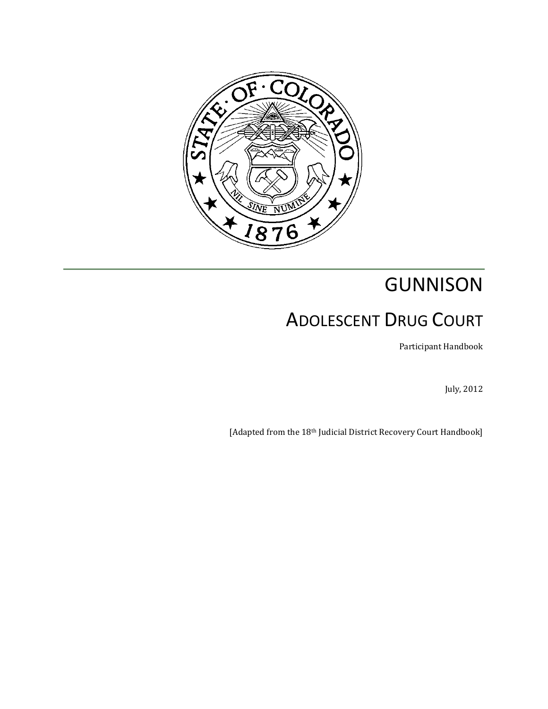

# GUNNISON ADOLESCENT DRUG COURT

Participant Handbook

July, 2012

[Adapted from the 18<sup>th</sup> Judicial District Recovery Court Handbook]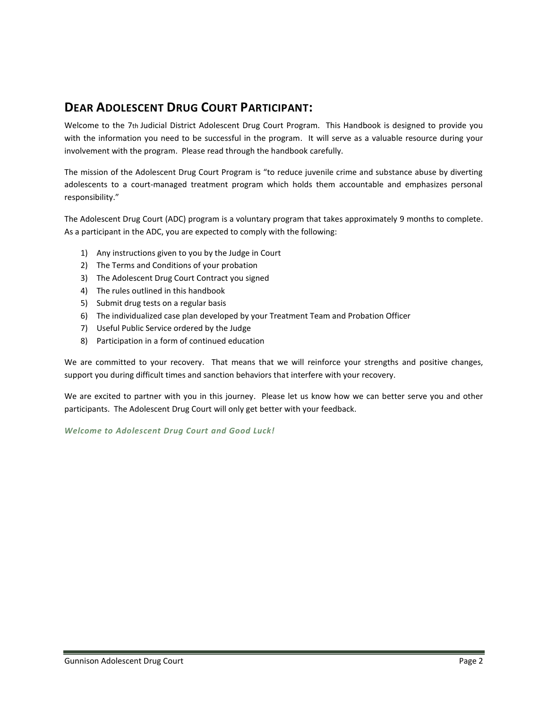## **DEAR ADOLESCENT DRUG COURT PARTICIPANT:**

Welcome to the 7th Judicial District Adolescent Drug Court Program. This Handbook is designed to provide you with the information you need to be successful in the program. It will serve as a valuable resource during your involvement with the program. Please read through the handbook carefully.

The mission of the Adolescent Drug Court Program is "to reduce juvenile crime and substance abuse by diverting adolescents to a court-managed treatment program which holds them accountable and emphasizes personal responsibility."

The Adolescent Drug Court (ADC) program is a voluntary program that takes approximately 9 months to complete. As a participant in the ADC, you are expected to comply with the following:

- 1) Any instructions given to you by the Judge in Court
- 2) The Terms and Conditions of your probation
- 3) The Adolescent Drug Court Contract you signed
- 4) The rules outlined in this handbook
- 5) Submit drug tests on a regular basis
- 6) The individualized case plan developed by your Treatment Team and Probation Officer
- 7) Useful Public Service ordered by the Judge
- 8) Participation in a form of continued education

We are committed to your recovery. That means that we will reinforce your strengths and positive changes, support you during difficult times and sanction behaviors that interfere with your recovery.

We are excited to partner with you in this journey. Please let us know how we can better serve you and other participants. The Adolescent Drug Court will only get better with your feedback.

*Welcome to Adolescent Drug Court and Good Luck!*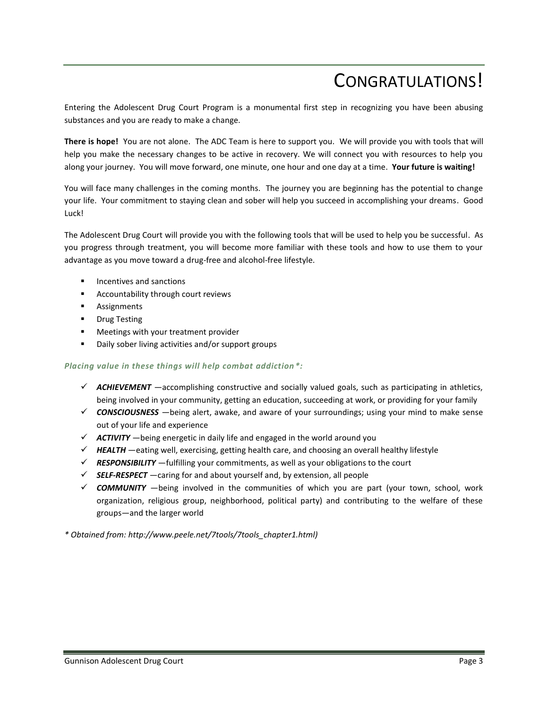## CONGRATULATIONS!

Entering the Adolescent Drug Court Program is a monumental first step in recognizing you have been abusing substances and you are ready to make a change.

**There is hope!** You are not alone. The ADC Team is here to support you. We will provide you with tools that will help you make the necessary changes to be active in recovery. We will connect you with resources to help you along your journey. You will move forward, one minute, one hour and one day at a time. **Your future is waiting!**

You will face many challenges in the coming months. The journey you are beginning has the potential to change your life. Your commitment to staying clean and sober will help you succeed in accomplishing your dreams. Good Luck!

The Adolescent Drug Court will provide you with the following tools that will be used to help you be successful. As you progress through treatment, you will become more familiar with these tools and how to use them to your advantage as you move toward a drug-free and alcohol-free lifestyle.

- Incentives and sanctions
- Accountability through court reviews
- **Assignments**
- **•** Drug Testing
- Meetings with your treatment provider
- Daily sober living activities and/or support groups

#### *Placing value in these things will help combat addiction\*:*

- $\checkmark$  **ACHIEVEMENT** —accomplishing constructive and socially valued goals, such as participating in athletics, being involved in your community, getting an education, succeeding at work, or providing for your family
- *CONSCIOUSNESS* —being alert, awake, and aware of your surroundings; using your mind to make sense out of your life and experience
- $\checkmark$  ACTIVITY being energetic in daily life and engaged in the world around you
- $\checkmark$  **HEALTH** —eating well, exercising, getting health care, and choosing an overall healthy lifestyle
- $\checkmark$  **RESPONSIBILITY** —fulfilling your commitments, as well as your obligations to the court
- *SELF-RESPECT* —caring for and about yourself and, by extension, all people
- *COMMUNITY* —being involved in the communities of which you are part (your town, school, work organization, religious group, neighborhood, political party) and contributing to the welfare of these groups—and the larger world

*\* Obtained from: http://www.peele.net/7tools/7tools\_chapter1.html)*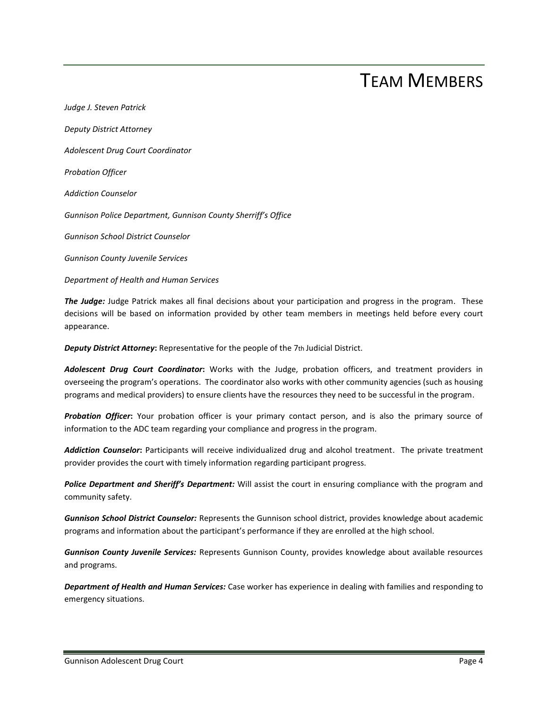## TEAM MEMBERS

*Judge J. Steven Patrick Deputy District Attorney Adolescent Drug Court Coordinator Probation Officer Addiction Counselor Gunnison Police Department, Gunnison County Sherriff's Office Gunnison School District Counselor Gunnison County Juvenile Services Department of Health and Human Services*

*The Judge:* Judge Patrick makes all final decisions about your participation and progress in the program. These decisions will be based on information provided by other team members in meetings held before every court appearance.

*Deputy District Attorney***:** Representative for the people of the 7th Judicial District.

*Adolescent Drug Court Coordinator***:** Works with the Judge, probation officers, and treatment providers in overseeing the program's operations. The coordinator also works with other community agencies (such as housing programs and medical providers) to ensure clients have the resources they need to be successful in the program.

*Probation Officer***:** Your probation officer is your primary contact person, and is also the primary source of information to the ADC team regarding your compliance and progress in the program.

*Addiction Counselor***:** Participants will receive individualized drug and alcohol treatment. The private treatment provider provides the court with timely information regarding participant progress.

*Police Department and Sheriff's Department:* Will assist the court in ensuring compliance with the program and community safety.

*Gunnison School District Counselor:* Represents the Gunnison school district, provides knowledge about academic programs and information about the participant's performance if they are enrolled at the high school.

*Gunnison County Juvenile Services:* Represents Gunnison County, provides knowledge about available resources and programs.

*Department of Health and Human Services:* Case worker has experience in dealing with families and responding to emergency situations.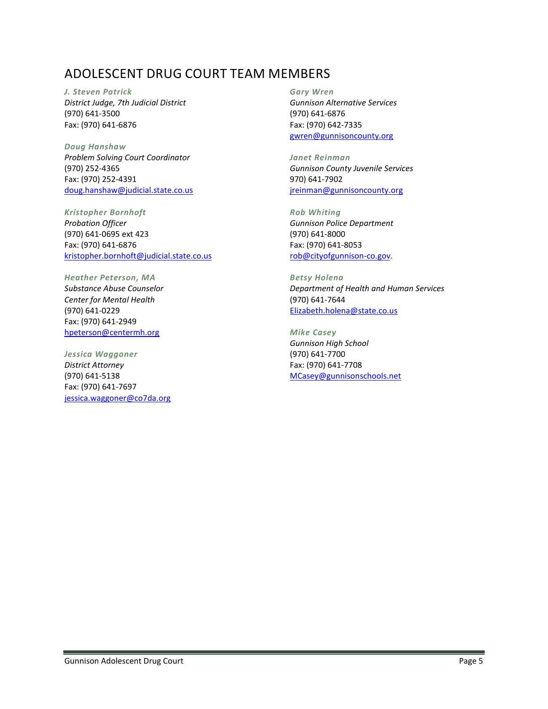## ADOLESCENT DRUG COURT TEAM MEMBERS

#### *J. Steven Patrick*

*District Judge, 7th Judicial District* (970) 641-3500 Fax: (970) 641-6876

*Doug Hanshaw Problem Solving Court Coordinator* (970) 252-4365 Fax: (970) 252-4391 [doug.hanshaw@judicial.state.co.us](mailto:doug.hanshaw@judicial.state.co.us)

*Kristopher Bornhoft Probation Officer*

(970) 641-0695 ext 423 Fax: (970) 641-6876 [kristopher.bornhoft@judicial.state.co.us](mailto:kristopher.bornhoft@judicial.state.co.us)

*Heather Peterson, MA*

*Substance Abuse Counselor Center for Mental Health* (970) 641-0229 Fax: (970) 641-2949 [hpeterson@centermh.org](mailto:hpeterson@centermh.org)

*Jessica Waggoner District Attorney* (970) 641-5138 Fax: (970) 641-7697 [jessica.waggoner@co7da.org](mailto:jessica.waggoner@co7da.org)

### *Gary Wren*

*Gunnison Alternative Services* (970) 641-6876 Fax: (970) 642-7335 [gwren@gunnisoncounty.org](mailto:gwren@gunnisoncounty.org)

*Janet Reinman Gunnison County Juvenile Services* 970) 641-7902 [jreinman@gunnisoncounty.org](mailto:jreinman@gunnisoncounty.org)

*Rob Whiting Gunnison Police Department* (970) 641-8000 Fax: (970) 641-8053 [rob@cityofgunnison-co.gov.](mailto:rob@cityofgunnison-co.gov)

*Betsy Holena Department of Health and Human Services* (970) 641-7644 [Elizabeth.holena@state.co.us](mailto:Elizabeth.holena@state.co.us)

*Mike Casey Gunnison High School* (970) 641-7700 Fax: (970) 641-7708 [MCasey@gunnisonschools.net](mailto:MCasey@gunnisonschools.net)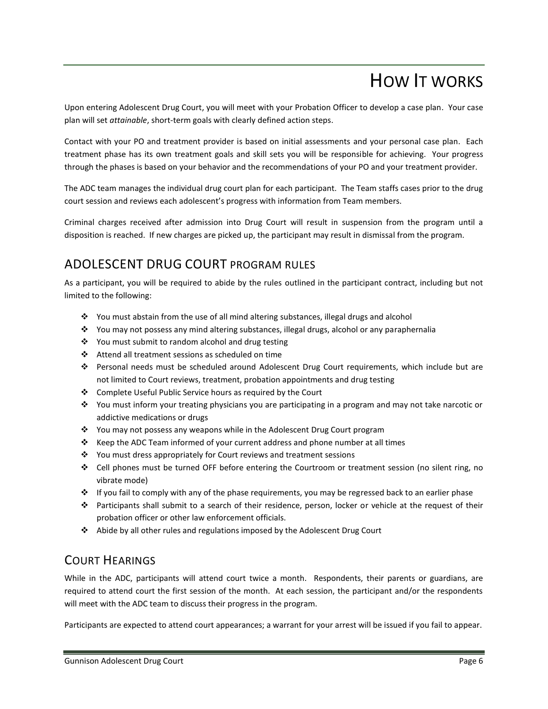## HOW IT WORKS

Upon entering Adolescent Drug Court, you will meet with your Probation Officer to develop a case plan. Your case plan will set *attainable*, short-term goals with clearly defined action steps.

Contact with your PO and treatment provider is based on initial assessments and your personal case plan. Each treatment phase has its own treatment goals and skill sets you will be responsible for achieving. Your progress through the phases is based on your behavior and the recommendations of your PO and your treatment provider.

The ADC team manages the individual drug court plan for each participant. The Team staffs cases prior to the drug court session and reviews each adolescent's progress with information from Team members.

Criminal charges received after admission into Drug Court will result in suspension from the program until a disposition is reached. If new charges are picked up, the participant may result in dismissal from the program.

## ADOLESCENT DRUG COURT PROGRAM RULES

As a participant, you will be required to abide by the rules outlined in the participant contract, including but not limited to the following:

- $\div$  You must abstain from the use of all mind altering substances, illegal drugs and alcohol
- You may not possess any mind altering substances, illegal drugs, alcohol or any paraphernalia
- ❖ You must submit to random alcohol and drug testing
- Attend all treatment sessions as scheduled on time
- Personal needs must be scheduled around Adolescent Drug Court requirements, which include but are not limited to Court reviews, treatment, probation appointments and drug testing
- ❖ Complete Useful Public Service hours as required by the Court
- You must inform your treating physicians you are participating in a program and may not take narcotic or addictive medications or drugs
- \* You may not possess any weapons while in the Adolescent Drug Court program
- \* Keep the ADC Team informed of your current address and phone number at all times
- \* You must dress appropriately for Court reviews and treatment sessions
- Cell phones must be turned OFF before entering the Courtroom or treatment session (no silent ring, no vibrate mode)
- $\div$  If you fail to comply with any of the phase requirements, you may be regressed back to an earlier phase
- Participants shall submit to a search of their residence, person, locker or vehicle at the request of their probation officer or other law enforcement officials.
- Abide by all other rules and regulations imposed by the Adolescent Drug Court

## COURT HEARINGS

While in the ADC, participants will attend court twice a month. Respondents, their parents or guardians, are required to attend court the first session of the month. At each session, the participant and/or the respondents will meet with the ADC team to discuss their progress in the program.

Participants are expected to attend court appearances; a warrant for your arrest will be issued if you fail to appear.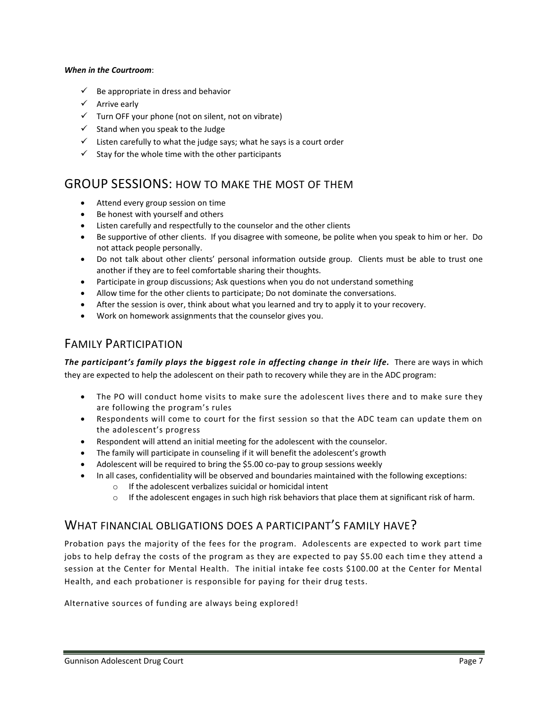#### *When in the Courtroom*:

- $\checkmark$  Be appropriate in dress and behavior
- $\checkmark$  Arrive early
- $\checkmark$  Turn OFF your phone (not on silent, not on vibrate)
- $\checkmark$  Stand when you speak to the Judge
- $\checkmark$  Listen carefully to what the judge says; what he says is a court order
- $\checkmark$  Stay for the whole time with the other participants

### GROUP SESSIONS: HOW TO MAKE THE MOST OF THEM

- Attend every group session on time
- Be honest with yourself and others
- Listen carefully and respectfully to the counselor and the other clients
- Be supportive of other clients. If you disagree with someone, be polite when you speak to him or her. Do not attack people personally.
- Do not talk about other clients' personal information outside group. Clients must be able to trust one another if they are to feel comfortable sharing their thoughts.
- Participate in group discussions; Ask questions when you do not understand something
- Allow time for the other clients to participate; Do not dominate the conversations.
- After the session is over, think about what you learned and try to apply it to your recovery.
- Work on homework assignments that the counselor gives you.

### FAMILY PARTICIPATION

*The participant's family plays the biggest role in affecting change in their life.* There are ways in which they are expected to help the adolescent on their path to recovery while they are in the ADC program:

- The PO will conduct home visits to make sure the adolescent lives there and to make sure they are following the program's rules
- Respondents will come to court for the first session so that the ADC team can update them on the adolescent's progress
- Respondent will attend an initial meeting for the adolescent with the counselor.
- The family will participate in counseling if it will benefit the adolescent's growth
- Adolescent will be required to bring the \$5.00 co-pay to group sessions weekly
- In all cases, confidentiality will be observed and boundaries maintained with the following exceptions:
	- o If the adolescent verbalizes suicidal or homicidal intent
	- $\circ$  If the adolescent engages in such high risk behaviors that place them at significant risk of harm.

### WHAT FINANCIAL OBLIGATIONS DOES A PARTICIPANT'S FAMILY HAVE?

Probation pays the majority of the fees for the program. Adolescents are expected to work part time jobs to help defray the costs of the program as they are expected to pay \$5.00 each time they attend a session at the Center for Mental Health. The initial intake fee costs \$100.00 at the Center for Mental Health, and each probationer is responsible for paying for their drug tests.

Alternative sources of funding are always being explored!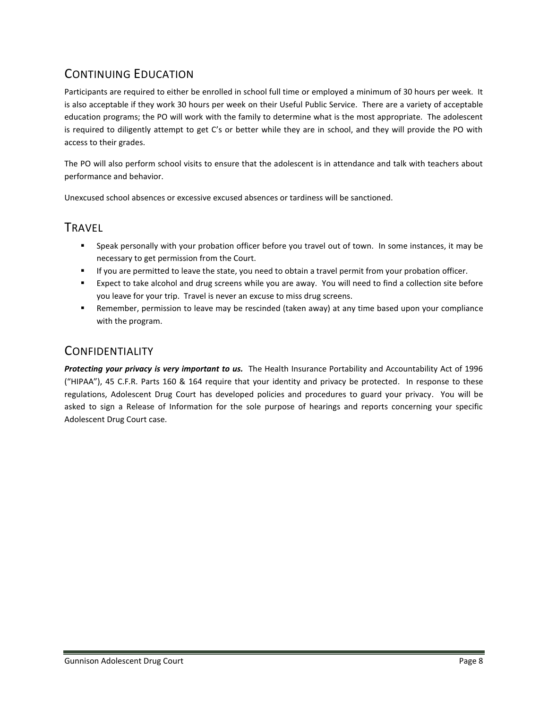## CONTINUING EDUCATION

Participants are required to either be enrolled in school full time or employed a minimum of 30 hours per week. It is also acceptable if they work 30 hours per week on their Useful Public Service. There are a variety of acceptable education programs; the PO will work with the family to determine what is the most appropriate. The adolescent is required to diligently attempt to get C's or better while they are in school, and they will provide the PO with access to their grades.

The PO will also perform school visits to ensure that the adolescent is in attendance and talk with teachers about performance and behavior.

Unexcused school absences or excessive excused absences or tardiness will be sanctioned.

### TRAVEL

- Speak personally with your probation officer before you travel out of town. In some instances, it may be necessary to get permission from the Court.
- If you are permitted to leave the state, you need to obtain a travel permit from your probation officer.
- Expect to take alcohol and drug screens while you are away. You will need to find a collection site before you leave for your trip. Travel is never an excuse to miss drug screens.
- Remember, permission to leave may be rescinded (taken away) at any time based upon your compliance with the program.

## **CONFIDENTIALITY**

*Protecting your privacy is very important to us.* The Health Insurance Portability and Accountability Act of 1996 ("HIPAA"), 45 C.F.R. Parts 160 & 164 require that your identity and privacy be protected. In response to these regulations, Adolescent Drug Court has developed policies and procedures to guard your privacy. You will be asked to sign a Release of Information for the sole purpose of hearings and reports concerning your specific Adolescent Drug Court case.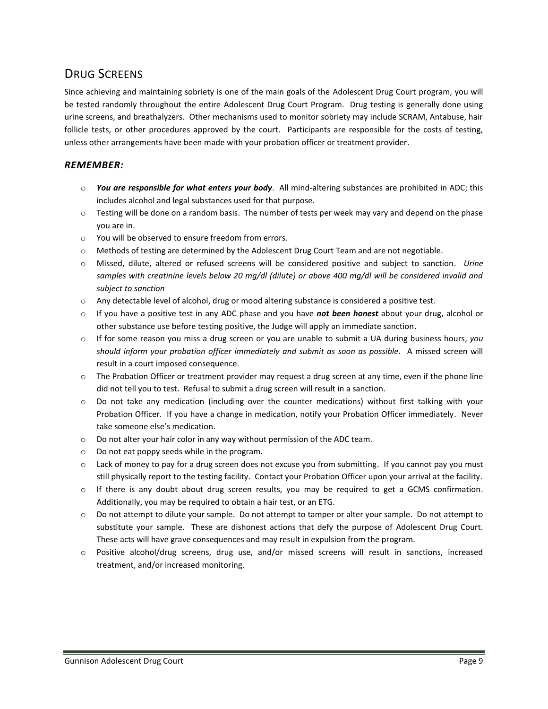## DRUG SCREENS

Since achieving and maintaining sobriety is one of the main goals of the Adolescent Drug Court program, you will be tested randomly throughout the entire Adolescent Drug Court Program. Drug testing is generally done using urine screens, and breathalyzers. Other mechanisms used to monitor sobriety may include SCRAM, Antabuse, hair follicle tests, or other procedures approved by the court. Participants are responsible for the costs of testing, unless other arrangements have been made with your probation officer or treatment provider.

### *REMEMBER:*

- o *You are responsible for what enters your body*. All mind-altering substances are prohibited in ADC; this includes alcohol and legal substances used for that purpose.
- $\circ$  Testing will be done on a random basis. The number of tests per week may vary and depend on the phase you are in.
- o You will be observed to ensure freedom from errors.
- o Methods of testing are determined by the Adolescent Drug Court Team and are not negotiable.
- o Missed, dilute, altered or refused screens will be considered positive and subject to sanction. *Urine samples with creatinine levels below 20 mg/dl (dilute) or above 400 mg/dl will be considered invalid and subject to sanction*
- o Any detectable level of alcohol, drug or mood altering substance is considered a positive test.
- o If you have a positive test in any ADC phase and you have *not been honest* about your drug, alcohol or other substance use before testing positive, the Judge will apply an immediate sanction.
- o If for some reason you miss a drug screen or you are unable to submit a UA during business hours, *you should inform your probation officer immediately and submit as soon as possible.* A missed screen will result in a court imposed consequence.
- $\circ$  The Probation Officer or treatment provider may request a drug screen at any time, even if the phone line did not tell you to test. Refusal to submit a drug screen will result in a sanction.
- $\circ$  Do not take any medication (including over the counter medications) without first talking with your Probation Officer. If you have a change in medication, notify your Probation Officer immediately. Never take someone else's medication.
- o Do not alter your hair color in any way without permission of the ADC team.
- o Do not eat poppy seeds while in the program.
- o Lack of money to pay for a drug screen does not excuse you from submitting. If you cannot pay you must still physically report to the testing facility. Contact your Probation Officer upon your arrival at the facility.
- $\circ$  If there is any doubt about drug screen results, you may be required to get a GCMS confirmation. Additionally, you may be required to obtain a hair test, or an ETG.
- o Do not attempt to dilute your sample. Do not attempt to tamper or alter your sample. Do not attempt to substitute your sample. These are dishonest actions that defy the purpose of Adolescent Drug Court. These acts will have grave consequences and may result in expulsion from the program.
- o Positive alcohol/drug screens, drug use, and/or missed screens will result in sanctions, increased treatment, and/or increased monitoring.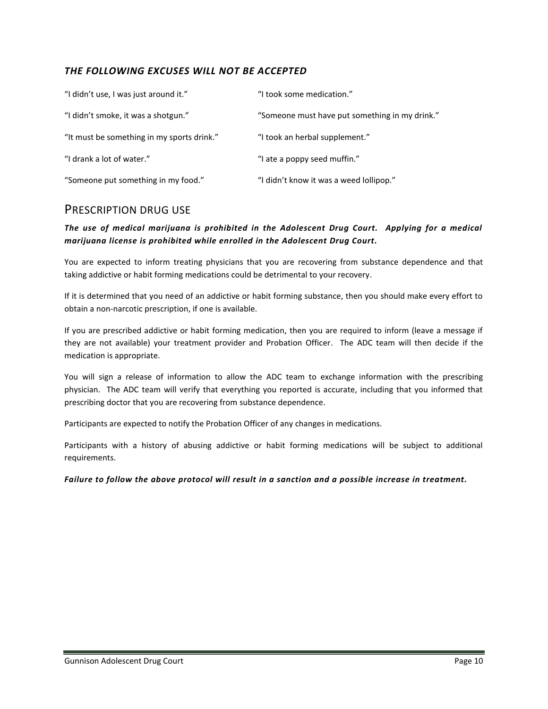### *THE FOLLOWING EXCUSES WILL NOT BE ACCEPTED*

| "I didn't use, I was just around it."      | "I took some medication."                      |
|--------------------------------------------|------------------------------------------------|
| "I didn't smoke, it was a shotgun."        | "Someone must have put something in my drink." |
| "It must be something in my sports drink." | "I took an herbal supplement."                 |
| "I drank a lot of water."                  | "I ate a poppy seed muffin."                   |
| "Someone put something in my food."        | "I didn't know it was a weed lollipop."        |

### PRESCRIPTION DRUG USE

### *The use of medical marijuana is prohibited in the Adolescent Drug Court. Applying for a medical marijuana license is prohibited while enrolled in the Adolescent Drug Court.*

You are expected to inform treating physicians that you are recovering from substance dependence and that taking addictive or habit forming medications could be detrimental to your recovery.

If it is determined that you need of an addictive or habit forming substance, then you should make every effort to obtain a non-narcotic prescription, if one is available.

If you are prescribed addictive or habit forming medication, then you are required to inform (leave a message if they are not available) your treatment provider and Probation Officer. The ADC team will then decide if the medication is appropriate.

You will sign a release of information to allow the ADC team to exchange information with the prescribing physician. The ADC team will verify that everything you reported is accurate, including that you informed that prescribing doctor that you are recovering from substance dependence.

Participants are expected to notify the Probation Officer of any changes in medications.

Participants with a history of abusing addictive or habit forming medications will be subject to additional requirements.

#### *Failure to follow the above protocol will result in a sanction and a possible increase in treatment.*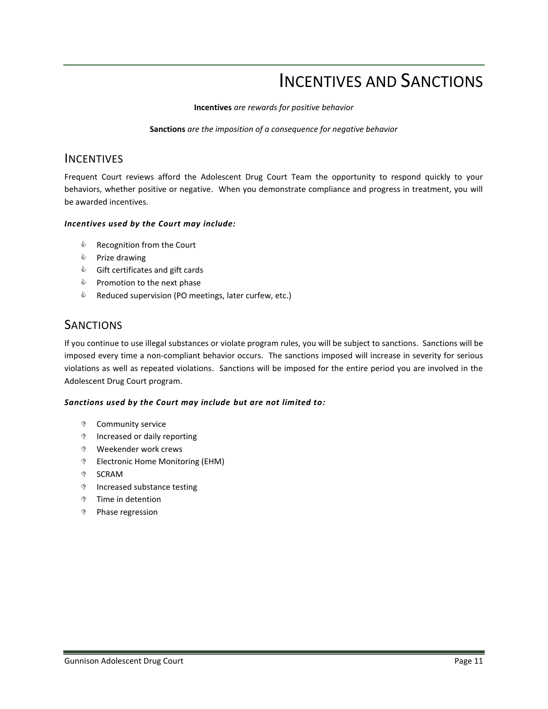## INCENTIVES AND SANCTIONS

**Incentives** *are rewards for positive behavior*

**Sanctions** *are the imposition of a consequence for negative behavior*

### **INCENTIVES**

Frequent Court reviews afford the Adolescent Drug Court Team the opportunity to respond quickly to your behaviors, whether positive or negative. When you demonstrate compliance and progress in treatment, you will be awarded incentives.

### *Incentives used by the Court may include:*

- **S** Recognition from the Court
- **S** Prize drawing
- **Starfficates and gift cards**
- $\Diamond$  Promotion to the next phase
- $\textcircled{\tiny{\textcircled{\tiny{R}}}}$  Reduced supervision (PO meetings, later curfew, etc.)

### **SANCTIONS**

If you continue to use illegal substances or violate program rules, you will be subject to sanctions. Sanctions will be imposed every time a non-compliant behavior occurs. The sanctions imposed will increase in severity for serious violations as well as repeated violations. Sanctions will be imposed for the entire period you are involved in the Adolescent Drug Court program.

#### *Sanctions used by the Court may include but are not limited to:*

- Community service
- **Increased or daily reporting**
- Weekender work crews
- **Electronic Home Monitoring (EHM)**
- **SCRAM**
- **Increased substance testing**
- **Time in detention**
- Phase regression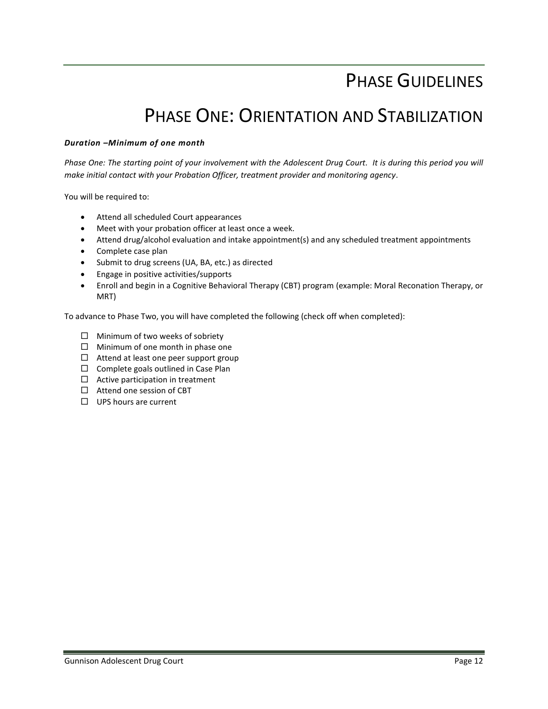## PHASE GUIDELINES

## PHASE ONE: ORIENTATION AND STABILIZATION

#### *Duration –Minimum of one month*

Phase One: The starting point of your involvement with the Adolescent Drug Court. It is during this period you will *make initial contact with your Probation Officer, treatment provider and monitoring agency.* 

You will be required to:

- Attend all scheduled Court appearances
- Meet with your probation officer at least once a week.
- Attend drug/alcohol evaluation and intake appointment(s) and any scheduled treatment appointments
- Complete case plan
- Submit to drug screens (UA, BA, etc.) as directed
- Engage in positive activities/supports
- Enroll and begin in a Cognitive Behavioral Therapy (CBT) program (example: Moral Reconation Therapy, or MRT)

To advance to Phase Two, you will have completed the following (check off when completed):

- $\Box$  Minimum of two weeks of sobriety
- $\Box$  Minimum of one month in phase one
- $\Box$  Attend at least one peer support group
- $\Box$  Complete goals outlined in Case Plan
- $\Box$  Active participation in treatment
- □ Attend one session of CBT
- □ UPS hours are current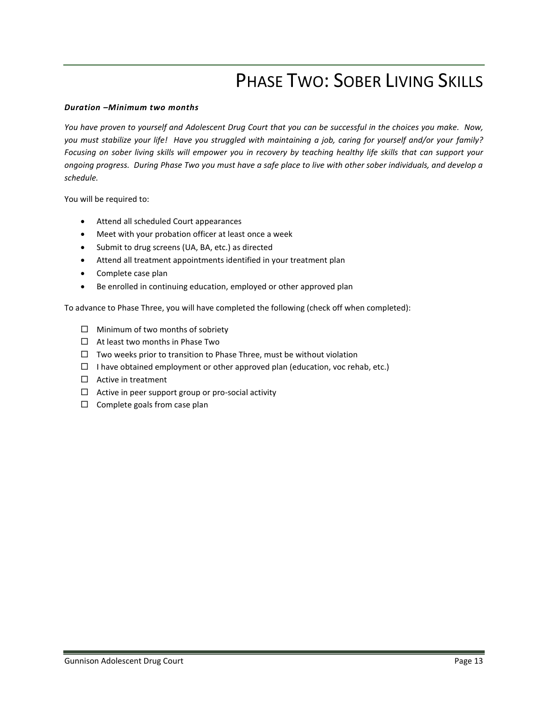## PHASE TWO: SOBER LIVING SKILLS

#### *Duration –Minimum two months*

*You have proven to yourself and Adolescent Drug Court that you can be successful in the choices you make. Now, you must stabilize your life! Have you struggled with maintaining a job, caring for yourself and/or your family?*  Focusing on sober living skills will empower you in recovery by teaching healthy life skills that can support your *ongoing progress. During Phase Two you must have a safe place to live with other sober individuals, and develop a schedule.* 

You will be required to:

- Attend all scheduled Court appearances
- Meet with your probation officer at least once a week
- Submit to drug screens (UA, BA, etc.) as directed
- Attend all treatment appointments identified in your treatment plan
- Complete case plan
- Be enrolled in continuing education, employed or other approved plan

To advance to Phase Three, you will have completed the following (check off when completed):

- $\Box$  Minimum of two months of sobriety
- $\Box$  At least two months in Phase Two
- $\Box$  Two weeks prior to transition to Phase Three, must be without violation
- $\Box$  I have obtained employment or other approved plan (education, voc rehab, etc.)
- □ Active in treatment
- $\Box$  Active in peer support group or pro-social activity
- $\Box$  Complete goals from case plan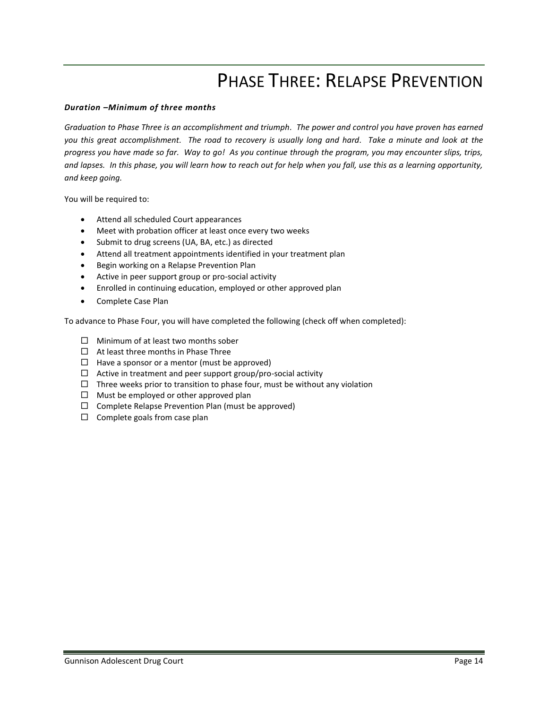## PHASE THREE: RELAPSE PREVENTION

#### *Duration –Minimum of three months*

*Graduation to Phase Three is an accomplishment and triumph. The power and control you have proven has earned you this great accomplishment. The road to recovery is usually long and hard. Take a minute and look at the progress you have made so far. Way to go! As you continue through the program, you may encounter slips, trips, and lapses. In this phase, you will learn how to reach out for help when you fall, use this as a learning opportunity, and keep going.* 

You will be required to:

- Attend all scheduled Court appearances
- Meet with probation officer at least once every two weeks
- Submit to drug screens (UA, BA, etc.) as directed
- Attend all treatment appointments identified in your treatment plan
- **•** Begin working on a Relapse Prevention Plan
- Active in peer support group or pro-social activity
- Enrolled in continuing education, employed or other approved plan
- Complete Case Plan

To advance to Phase Four, you will have completed the following (check off when completed):

- $\Box$  Minimum of at least two months sober
- $\Box$  At least three months in Phase Three
- $\Box$  Have a sponsor or a mentor (must be approved)
- $\Box$  Active in treatment and peer support group/pro-social activity
- $\Box$  Three weeks prior to transition to phase four, must be without any violation
- $\Box$  Must be employed or other approved plan
- $\Box$  Complete Relapse Prevention Plan (must be approved)
- $\square$  Complete goals from case plan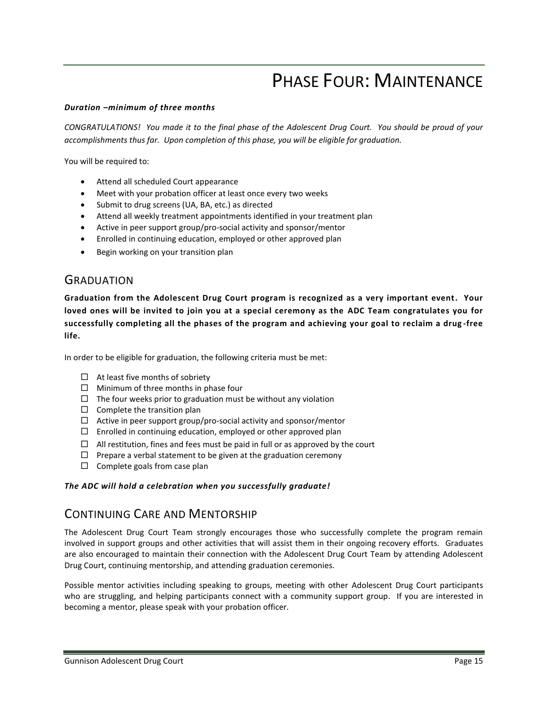## PHASE FOUR: MAINTENANCE

#### *Duration –minimum of three months*

*CONGRATULATIONS! You made it to the final phase of the Adolescent Drug Court. You should be proud of your accomplishments thus far. Upon completion of this phase, you will be eligible for graduation.* 

You will be required to:

- Attend all scheduled Court appearance
- Meet with your probation officer at least once every two weeks
- Submit to drug screens (UA, BA, etc.) as directed
- Attend all weekly treatment appointments identified in your treatment plan
- Active in peer support group/pro-social activity and sponsor/mentor
- Enrolled in continuing education, employed or other approved plan
- Begin working on your transition plan

### **GRADUATION**

**Graduation from the Adolescent Drug Court program is recognized as a very important event. Your loved ones will be invited to join you at a special ceremony as the ADC Team congratulates you for successfully completing all the phases of the program and achieving your goal to reclaim a drug -free life.** 

In order to be eligible for graduation, the following criteria must be met:

- $\Box$  At least five months of sobriety
- $\Box$  Minimum of three months in phase four
- $\Box$  The four weeks prior to graduation must be without any violation
- $\square$  Complete the transition plan
- $\Box$  Active in peer support group/pro-social activity and sponsor/mentor
- $\square$  Enrolled in continuing education, employed or other approved plan
- $\Box$  All restitution, fines and fees must be paid in full or as approved by the court
- $\Box$  Prepare a verbal statement to be given at the graduation ceremony
- $\square$  Complete goals from case plan

#### *The ADC will hold a celebration when you successfully graduate!*

### CONTINUING CARE AND MENTORSHIP

The Adolescent Drug Court Team strongly encourages those who successfully complete the program remain involved in support groups and other activities that will assist them in their ongoing recovery efforts. Graduates are also encouraged to maintain their connection with the Adolescent Drug Court Team by attending Adolescent Drug Court, continuing mentorship, and attending graduation ceremonies.

Possible mentor activities including speaking to groups, meeting with other Adolescent Drug Court participants who are struggling, and helping participants connect with a community support group. If you are interested in becoming a mentor, please speak with your probation officer.